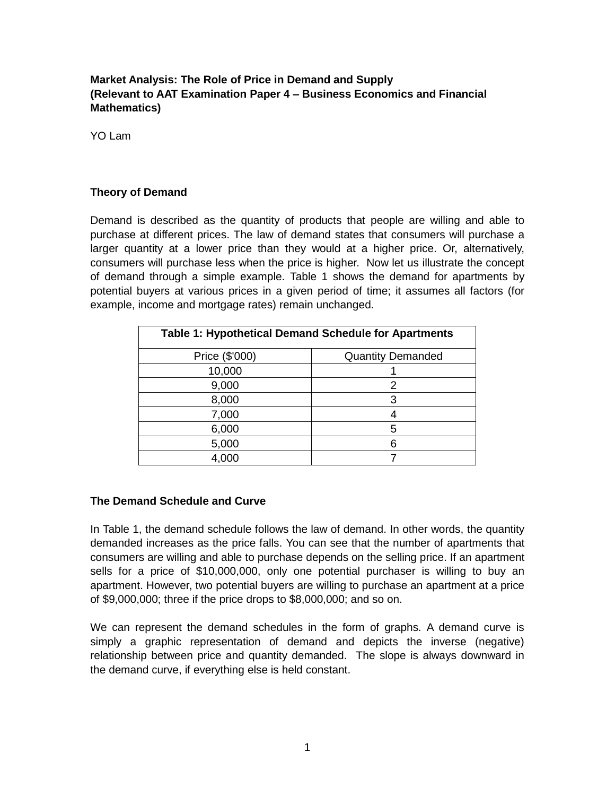# **Market Analysis: The Role of Price in Demand and Supply (Relevant to AAT Examination Paper 4 – Business Economics and Financial Mathematics)**

YO Lam

## **Theory of Demand**

Demand is described as the quantity of products that people are willing and able to purchase at different prices. The law of demand states that consumers will purchase a larger quantity at a lower price than they would at a higher price. Or, alternatively, consumers will purchase less when the price is higher. Now let us illustrate the concept of demand through a simple example. Table 1 shows the demand for apartments by potential buyers at various prices in a given period of time; it assumes all factors (for example, income and mortgage rates) remain unchanged.

| Table 1: Hypothetical Demand Schedule for Apartments |                          |  |  |
|------------------------------------------------------|--------------------------|--|--|
| Price (\$'000)                                       | <b>Quantity Demanded</b> |  |  |
| 10,000                                               |                          |  |  |
| 9,000                                                | 2                        |  |  |
| 8,000                                                | 3                        |  |  |
| 7,000                                                |                          |  |  |
| 6,000                                                | 5                        |  |  |
| 5,000                                                | 6                        |  |  |
| 4,000                                                |                          |  |  |

## **The Demand Schedule and Curve**

In Table 1, the demand schedule follows the law of demand. In other words, the quantity demanded increases as the price falls. You can see that the number of apartments that consumers are willing and able to purchase depends on the selling price. If an apartment sells for a price of \$10,000,000, only one potential purchaser is willing to buy an apartment. However, two potential buyers are willing to purchase an apartment at a price of \$9,000,000; three if the price drops to \$8,000,000; and so on.

We can represent the demand schedules in the form of graphs. A demand curve is simply a graphic representation of demand and depicts the inverse (negative) relationship between price and quantity demanded. The slope is always downward in the demand curve, if everything else is held constant.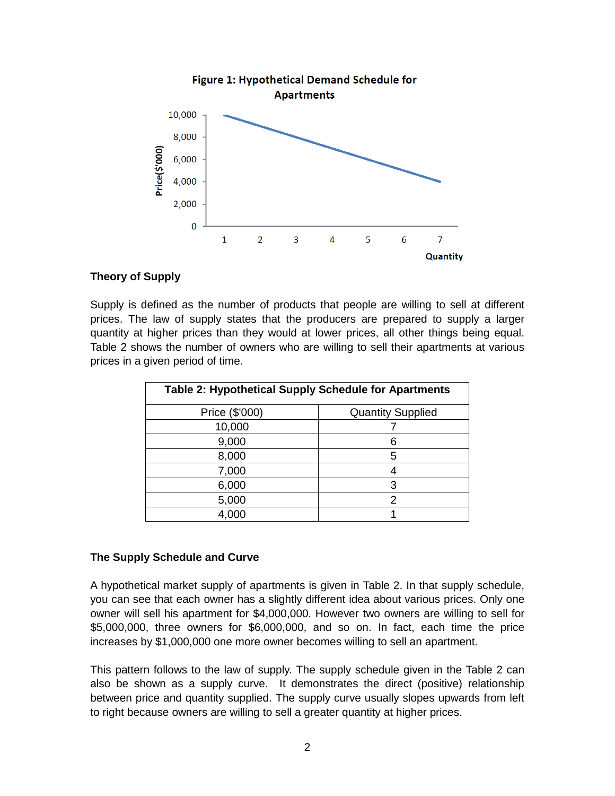

## **Theory of Supply**

Supply is defined as the number of products that people are willing to sell at different prices. The law of supply states that the producers are prepared to supply a larger quantity at higher prices than they would at lower prices, all other things being equal. Table 2 shows the number of owners who are willing to sell their apartments at various prices in a given period of time.

| Table 2: Hypothetical Supply Schedule for Apartments |                          |  |  |
|------------------------------------------------------|--------------------------|--|--|
| Price (\$'000)                                       | <b>Quantity Supplied</b> |  |  |
| 10,000                                               |                          |  |  |
| 9,000                                                |                          |  |  |
| 8,000                                                | 5                        |  |  |
| 7,000                                                |                          |  |  |
| 6,000                                                | 3                        |  |  |
| 5,000                                                | ּ                        |  |  |
| 4,000                                                |                          |  |  |

## **The Supply Schedule and Curve**

A hypothetical market supply of apartments is given in Table 2. In that supply schedule, you can see that each owner has a slightly different idea about various prices. Only one owner will sell his apartment for \$4,000,000. However two owners are willing to sell for \$5,000,000, three owners for \$6,000,000, and so on. In fact, each time the price increases by \$1,000,000 one more owner becomes willing to sell an apartment.

This pattern follows to the law of supply. The supply schedule given in the Table 2 can also be shown as a supply curve. It demonstrates the direct (positive) relationship between price and quantity supplied. The supply curve usually slopes upwards from left to right because owners are willing to sell a greater quantity at higher prices.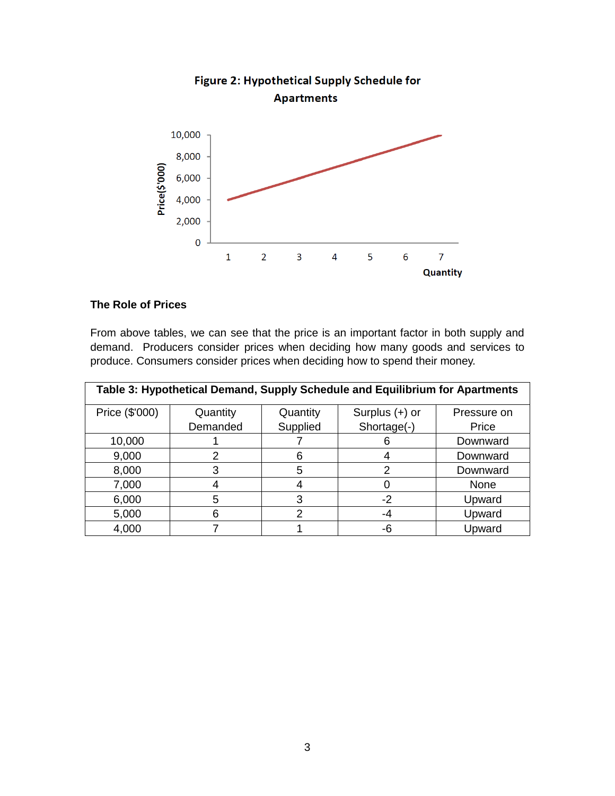

### **The Role of Prices**

From above tables, we can see that the price is an important factor in both supply and demand. Producers consider prices when deciding how many goods and services to produce. Consumers consider prices when deciding how to spend their money.

| Table 3: Hypothetical Demand, Supply Schedule and Equilibrium for Apartments |          |          |                  |             |  |  |
|------------------------------------------------------------------------------|----------|----------|------------------|-------------|--|--|
| Price (\$'000)                                                               | Quantity | Quantity | Surplus $(+)$ or | Pressure on |  |  |
|                                                                              | Demanded | Supplied | Shortage(-)      | Price       |  |  |
| 10,000                                                                       |          |          | 6                | Downward    |  |  |
| 9,000                                                                        | 2        | 6        |                  | Downward    |  |  |
| 8,000                                                                        | З        | 5        |                  | Downward    |  |  |
| 7,000                                                                        |          |          |                  | None        |  |  |
| 6,000                                                                        | 5        | 3        | -2               | Upward      |  |  |
| 5,000                                                                        | 6        | 2        | -4               | Upward      |  |  |
| 4,000                                                                        |          |          | -6               | Upward      |  |  |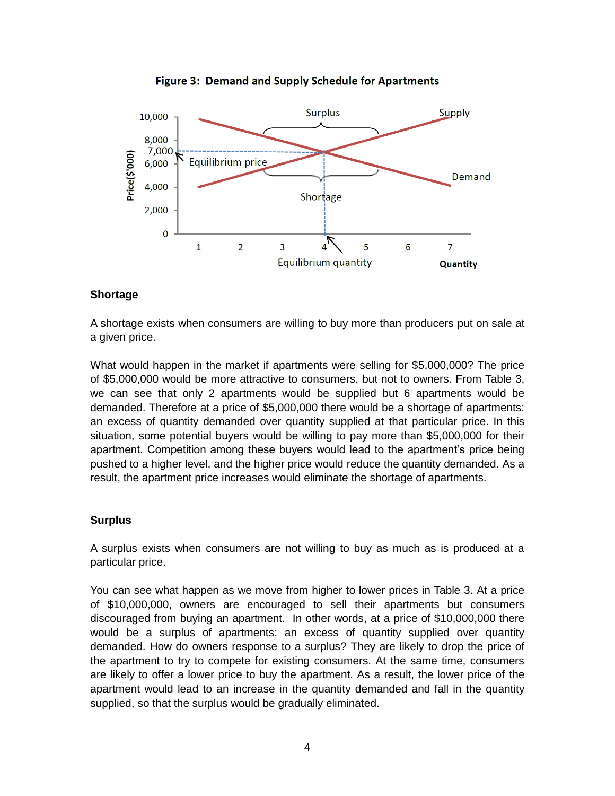



## **Shortage**

A shortage exists when consumers are willing to buy more than producers put on sale at a given price.

What would happen in the market if apartments were selling for \$5,000,000? The price of \$5,000,000 would be more attractive to consumers, but not to owners. From Table 3, we can see that only 2 apartments would be supplied but 6 apartments would be demanded. Therefore at a price of \$5,000,000 there would be a shortage of apartments: an excess of quantity demanded over quantity supplied at that particular price. In this situation, some potential buyers would be willing to pay more than \$5,000,000 for their apartment. Competition among these buyers would lead to the apartment's price being pushed to a higher level, and the higher price would reduce the quantity demanded. As a result, the apartment price increases would eliminate the shortage of apartments.

### **Surplus**

A surplus exists when consumers are not willing to buy as much as is produced at a particular price.

You can see what happen as we move from higher to lower prices in Table 3. At a price of \$10,000,000, owners are encouraged to sell their apartments but consumers discouraged from buying an apartment. In other words, at a price of \$10,000,000 there would be a surplus of apartments: an excess of quantity supplied over quantity demanded. How do owners response to a surplus? They are likely to drop the price of the apartment to try to compete for existing consumers. At the same time, consumers are likely to offer a lower price to buy the apartment. As a result, the lower price of the apartment would lead to an increase in the quantity demanded and fall in the quantity supplied, so that the surplus would be gradually eliminated.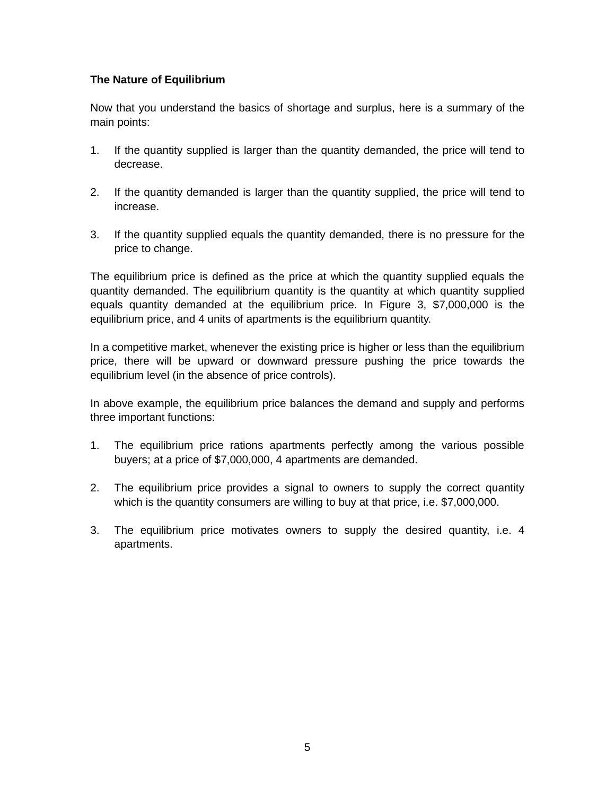# **The Nature of Equilibrium**

Now that you understand the basics of shortage and surplus, here is a summary of the main points:

- 1. If the quantity supplied is larger than the quantity demanded, the price will tend to decrease.
- 2. If the quantity demanded is larger than the quantity supplied, the price will tend to increase.
- 3. If the quantity supplied equals the quantity demanded, there is no pressure for the price to change.

The equilibrium price is defined as the price at which the quantity supplied equals the quantity demanded. The equilibrium quantity is the quantity at which quantity supplied equals quantity demanded at the equilibrium price. In Figure 3, \$7,000,000 is the equilibrium price, and 4 units of apartments is the equilibrium quantity.

In a competitive market, whenever the existing price is higher or less than the equilibrium price, there will be upward or downward pressure pushing the price towards the equilibrium level (in the absence of price controls).

In above example, the equilibrium price balances the demand and supply and performs three important functions:

- 1. The equilibrium price rations apartments perfectly among the various possible buyers; at a price of \$7,000,000, 4 apartments are demanded.
- 2. The equilibrium price provides a signal to owners to supply the correct quantity which is the quantity consumers are willing to buy at that price, i.e. \$7,000,000.
- 3. The equilibrium price motivates owners to supply the desired quantity, i.e. 4 apartments.